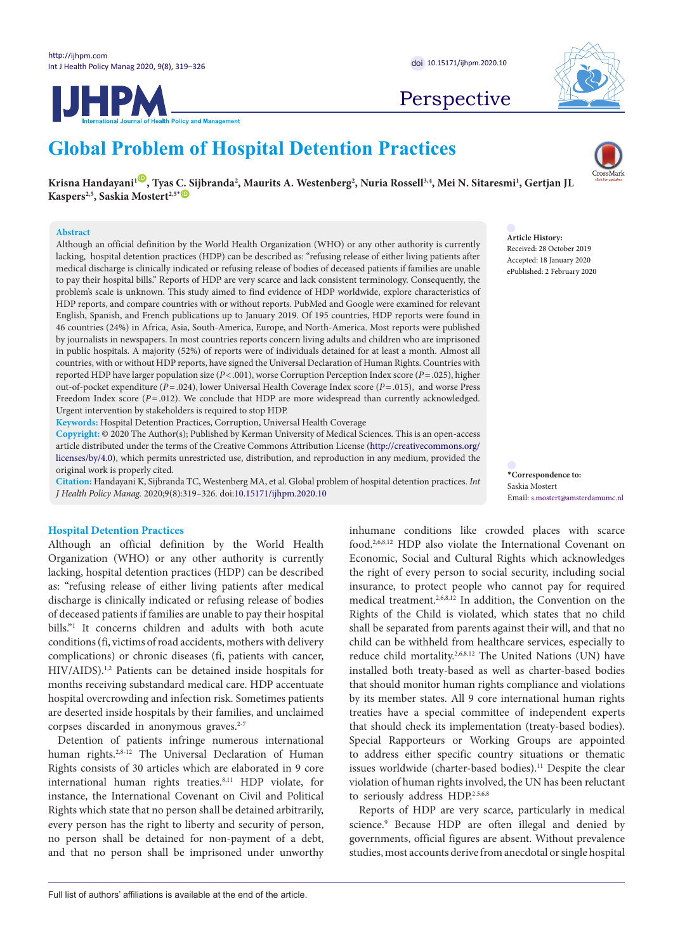

# **Global Problem of Hospital Detention Practices**

 $K$ risna Handayani<sup>ı (D)</sup>, Tyas C. Sijbranda<sup>2</sup>, Maurits A. Westenberg<sup>2</sup>, Nuria Rossell<sup>3,4</sup>, Mei N. Sitaresmi<sup>1</sup>, Gertjan JL **Kaspers<sup>2,5</sup>, Saskia Mostert<sup>2,5</sub><sup>[\\*](#page-0-0)</sup> <sup>[ID](https://orcid.org/0000-0002-4583-8603)</sup>**</sup>

### **Abstract**

Although an official definition by the World Health Organization (WHO) or any other authority is currently lacking, hospital detention practices (HDP) can be described as: "refusing release of either living patients after medical discharge is clinically indicated or refusing release of bodies of deceased patients if families are unable to pay their hospital bills." Reports of HDP are very scarce and lack consistent terminology. Consequently, the problem's scale is unknown. This study aimed to find evidence of HDP worldwide, explore characteristics of HDP reports, and compare countries with or without reports. PubMed and Google were examined for relevant English, Spanish, and French publications up to January 2019. Of 195 countries, HDP reports were found in 46 countries (24%) in Africa, Asia, South-America, Europe, and North-America. Most reports were published by journalists in newspapers. In most countries reports concern living adults and children who are imprisoned in public hospitals. A majority (52%) of reports were of individuals detained for at least a month. Almost all countries, with or without HDP reports, have signed the Universal Declaration of Human Rights. Countries with reported HDP have larger population size (*P*<.001), worse Corruption Perception Index score (*P*=.025), higher out-of-pocket expenditure (*P*=.024), lower Universal Health Coverage Index score (*P*=.015), and worse Press Freedom Index score ( $P = .012$ ). We conclude that HDP are more widespread than currently acknowledged. Urgent intervention by stakeholders is required to stop HDP.

**Keywords:** Hospital Detention Practices, Corruption, Universal Health Coverage

**Copyright:** © 2020 The Author(s); Published by Kerman University of Medical Sciences. This is an open-access article distributed under the terms of the Creative Commons Attribution License [\(http://creativecommons.org/](http://creativecommons.org/licenses/by/4.0) [licenses/by/4.0](http://creativecommons.org/licenses/by/4.0)), which permits unrestricted use, distribution, and reproduction in any medium, provided the original work is properly cited.

**Citation:** Handayani K, Sijbranda TC, Westenberg MA, et al. Global problem of hospital detention practices. *Int J Health Policy Manag.* 2020;9(8):319–326. doi[:10.15171/ijhpm.2020.10](https://doi.org/10.15171/ijhpm.2020.10)

# **Hospital Detention Practices**

Although an official definition by the World Health Organization (WHO) or any other authority is currently lacking, hospital detention practices (HDP) can be described as: "refusing release of either living patients after medical discharge is clinically indicated or refusing release of bodies of deceased patients if families are unable to pay their hospital bills."1 It concerns children and adults with both acute conditions (fi, victims of road accidents, mothers with delivery complications) or chronic diseases (fi, patients with cancer, HIV/AIDS).1,2 Patients can be detained inside hospitals for months receiving substandard medical care. HDP accentuate hospital overcrowding and infection risk. Sometimes patients are deserted inside hospitals by their families, and unclaimed corpses discarded in anonymous graves.<sup>2-7</sup>

Detention of patients infringe numerous international human rights.<sup>2,8-12</sup> The Universal Declaration of Human Rights consists of 30 articles which are elaborated in 9 core international human rights treaties.8,11 HDP violate, for instance, the International Covenant on Civil and Political Rights which state that no person shall be detained arbitrarily, every person has the right to liberty and security of person, no person shall be detained for non-payment of a debt, and that no person shall be imprisoned under unworthy inhumane conditions like crowded places with scarce food.2,6,8,12 HDP also violate the International Covenant on Economic, Social and Cultural Rights which acknowledges the right of every person to social security, including social insurance, to protect people who cannot pay for required medical treatment.2,6,8,12 In addition, the Convention on the Rights of the Child is violated, which states that no child shall be separated from parents against their will, and that no child can be withheld from healthcare services, especially to reduce child mortality.2,6,8,12 The United Nations (UN) have installed both treaty-based as well as charter-based bodies that should monitor human rights compliance and violations by its member states. All 9 core international human rights treaties have a special committee of independent experts that should check its implementation (treaty-based bodies). Special Rapporteurs or Working Groups are appointed to address either specific country situations or thematic issues worldwide (charter-based bodies).<sup>11</sup> Despite the clear violation of human rights involved, the UN has been reluctant

Reports of HDP are very scarce, particularly in medical science.9 Because HDP are often illegal and denied by governments, official figures are absent. Without prevalence studies, most accounts derive from anecdotal or single hospital

to seriously address HDP.2,5,6,8

**Article History:** Received: 28 October 2019 Accepted: 18 January 2020 ePublished: 2 February 2020

<span id="page-0-0"></span>**\*Correspondence to:** Saskia Mostert Email: s.mostert@amsterdamumc.nl





Perspective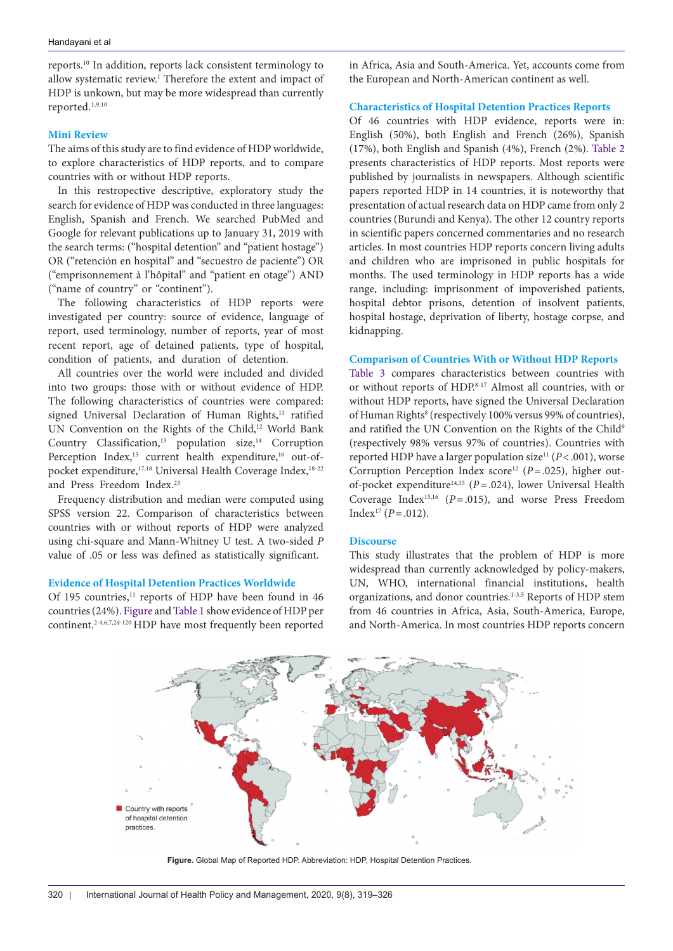reports.10 In addition, reports lack consistent terminology to allow systematic review.<sup>1</sup> Therefore the extent and impact of HDP is unkown, but may be more widespread than currently reported.1,9,10

# **Mini Review**

The aims of this study are to find evidence of HDP worldwide, to explore characteristics of HDP reports, and to compare countries with or without HDP reports.

In this restropective descriptive, exploratory study the search for evidence of HDP was conducted in three languages: English, Spanish and French. We searched PubMed and Google for relevant publications up to January 31, 2019 with the search terms: ("hospital detention" and "patient hostage") OR ("retención en hospital" and "secuestro de paciente") OR ("emprisonnement à l'hôpital" and "patient en otage") AND ("name of country" or "continent").

The following characteristics of HDP reports were investigated per country: source of evidence, language of report, used terminology, number of reports, year of most recent report, age of detained patients, type of hospital, condition of patients, and duration of detention.

All countries over the world were included and divided into two groups: those with or without evidence of HDP. The following characteristics of countries were compared: signed Universal Declaration of Human Rights,<sup>11</sup> ratified UN Convention on the Rights of the Child,<sup>12</sup> World Bank Country Classification, $13$  population size, $14$  Corruption Perception Index,<sup>15</sup> current health expenditure,<sup>16</sup> out-ofpocket expenditure,<sup>17,18</sup> Universal Health Coverage Index,<sup>18-22</sup> and Press Freedom Index.<sup>23</sup>

Frequency distribution and median were computed using SPSS version 22. Comparison of characteristics between countries with or without reports of HDP were analyzed using chi-square and Mann-Whitney U test. A two-sided *P*  value of .05 or less was defined as statistically significant.

# **Evidence of Hospital Detention Practices Worldwide**

Of 195 countries,<sup>11</sup> reports of HDP have been found in 46 countries (24%). [Figure](#page-1-0) and [Table 1](#page-2-0) show evidence of HDP per continent.2-4,6,7,24-120 HDP have most frequently been reported in Africa, Asia and South-America. Yet, accounts come from the European and North-American continent as well.

# **Characteristics of Hospital Detention Practices Reports**

Of 46 countries with HDP evidence, reports were in: English (50%), both English and French (26%), Spanish (17%), both English and Spanish (4%), French (2%). [Table 2](#page-2-1)  presents characteristics of HDP reports. Most reports were published by journalists in newspapers. Although scientific papers reported HDP in 14 countries, it is noteworthy that presentation of actual research data on HDP came from only 2 countries (Burundi and Kenya). The other 12 country reports in scientific papers concerned commentaries and no research articles. In most countries HDP reports concern living adults and children who are imprisoned in public hospitals for months. The used terminology in HDP reports has a wide range, including: imprisonment of impoverished patients, hospital debtor prisons, detention of insolvent patients, hospital hostage, deprivation of liberty, hostage corpse, and kidnapping.

# **Comparison of Countries With or Without HDP Reports**

[Table 3](#page-3-0) compares characteristics between countries with or without reports of HDP.<sup>8-17</sup> Almost all countries, with or without HDP reports, have signed the Universal Declaration of Human Rights<sup>8</sup> (respectively 100% versus 99% of countries), and ratified the UN Convention on the Rights of the Child<sup>9</sup> (respectively 98% versus 97% of countries). Countries with reported HDP have a larger population size<sup>11</sup> ( $P < .001$ ), worse Corruption Perception Index score<sup>12</sup> ( $P = .025$ ), higher outof-pocket expenditure14,15 (*P*=.024), lower Universal Health Coverage Index15,16 (*P*=.015), and worse Press Freedom Index<sup>17</sup> ( $P = .012$ ).

# **Discourse**

<span id="page-1-0"></span>This study illustrates that the problem of HDP is more widespread than currently acknowledged by policy-makers, UN, WHO, international financial institutions, health organizations, and donor countries.<sup>1-3,5</sup> Reports of HDP stem from 46 countries in Africa, Asia, South-America, Europe, and North-America. In most countries HDP reports concern



**Figure.** Global Map of Reported HDP. Abbreviation: HDP, Hospital Detention Practices.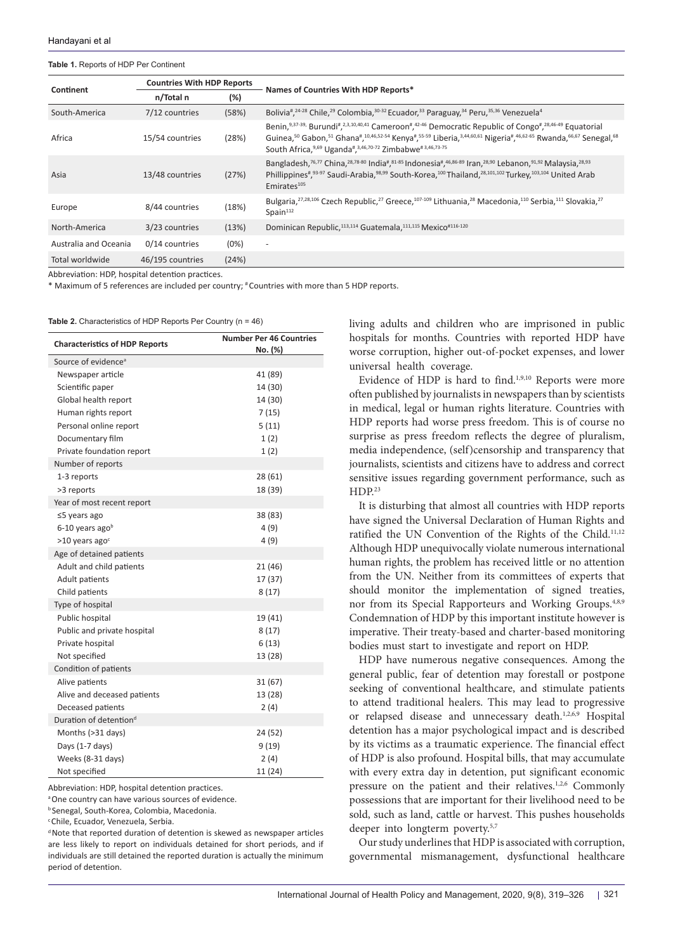## <span id="page-2-0"></span>**Table 1.** Reports of HDP Per Continent

| Continent             | <b>Countries With HDP Reports</b> |        |                                                                                                                                                                                                                                                                                                                                             |
|-----------------------|-----------------------------------|--------|---------------------------------------------------------------------------------------------------------------------------------------------------------------------------------------------------------------------------------------------------------------------------------------------------------------------------------------------|
|                       | n/Total n                         | $(\%)$ | Names of Countries With HDP Reports*                                                                                                                                                                                                                                                                                                        |
| South-America         | 7/12 countries                    | (58%)  | Bolivia <sup>#</sup> , <sup>24-28</sup> Chile, <sup>29</sup> Colombia, <sup>30-32</sup> Ecuador, <sup>33</sup> Paraguay, <sup>34</sup> Peru, <sup>35,36</sup> Venezuela <sup>4</sup>                                                                                                                                                        |
| Africa                | 15/54 countries                   | (28%)  | Benin, 9,37-39, Burundi <sup>#</sup> , 2,3,10,40,41 Cameroon <sup>#</sup> , 42-46 Democratic Republic of Congo <sup>#</sup> , 28,46-49 Equatorial<br>Guinea, 50 Gabon, 51 Ghana#, 10,46,52-54 Kenya#, 55-59 Liberia, 3,44,60,61 Nigeria#, 46,62-65 Rwanda, 66,67 Senegal, 68<br>South Africa, 9,69 Uganda#, 3,46,70-72 Zimbabwe# 3,46,73-75 |
| Asia                  | 13/48 countries                   | (27%)  | Bangladesh, 76,77 China, 28,78-80 India#, 81-85 Indonesia#, 46,86-89 Iran, 28,90 Lebanon, 91,92 Malaysia, 28,93<br>Phillippines#,93-97 Saudi-Arabia,98,99 South-Korea,100 Thailand, 28,101,102 Turkey, 103,104 United Arab<br>Emirates <sup>105</sup>                                                                                       |
| Europe                | 8/44 countries                    | (18%)  | Bulgaria, <sup>27,28,106</sup> Czech Republic, <sup>27</sup> Greece, <sup>107-109</sup> Lithuania, <sup>28</sup> Macedonia, <sup>110</sup> Serbia, <sup>111</sup> Slovakia, <sup>27</sup><br>Spain $112$                                                                                                                                    |
| North-America         | 3/23 countries                    | (13%)  | Dominican Republic, 113,114 Guatemala, 111,115 Mexico#116-120                                                                                                                                                                                                                                                                               |
| Australia and Oceania | $0/14$ countries                  | (0%)   | $\overline{\phantom{a}}$                                                                                                                                                                                                                                                                                                                    |
| Total worldwide       | 46/195 countries                  | (24%)  |                                                                                                                                                                                                                                                                                                                                             |

Abbreviation: HDP, hospital detention practices.

\* Maximum of 5 references are included per country; # Countries with more than 5 HDP reports.

<span id="page-2-1"></span>**Table 2.** Characteristics of HDP Reports Per Country (n = 46)

| <b>Characteristics of HDP Reports</b> | <b>Number Per 46 Countries</b><br>No. (%) |
|---------------------------------------|-------------------------------------------|
| Source of evidence <sup>a</sup>       |                                           |
| Newspaper article                     | 41 (89)                                   |
| Scientific paper                      | 14 (30)                                   |
| Global health report                  | 14 (30)                                   |
| Human rights report                   | 7(15)                                     |
| Personal online report                | 5(11)                                     |
| Documentary film                      | 1(2)                                      |
| Private foundation report             | 1(2)                                      |
| Number of reports                     |                                           |
| 1-3 reports                           | 28(61)                                    |
| >3 reports                            | 18 (39)                                   |
| Year of most recent report            |                                           |
| ≤5 years ago                          | 38 (83)                                   |
| 6-10 years ago <sup>b</sup>           | 4(9)                                      |
| $>10$ years ago <sup>c</sup>          | 4(9)                                      |
| Age of detained patients              |                                           |
| Adult and child patients              | 21 (46)                                   |
| Adult patients                        | 17 (37)                                   |
| Child patients                        | 8(17)                                     |
| Type of hospital                      |                                           |
| Public hospital                       | 19 (41)                                   |
| Public and private hospital           | 8(17)                                     |
| Private hospital                      | 6(13)                                     |
| Not specified                         | 13 (28)                                   |
| Condition of patients                 |                                           |
| Alive patients                        | 31(67)                                    |
| Alive and deceased patients           | 13 (28)                                   |
| Deceased patients                     | 2(4)                                      |
| Duration of detention <sup>d</sup>    |                                           |
| Months (>31 days)                     | 24 (52)                                   |
| Days (1-7 days)                       | 9(19)                                     |
| Weeks (8-31 days)                     | 2(4)                                      |
| Not specified                         | 11 (24)                                   |

Abbreviation: HDP, hospital detention practices.

a One country can have various sources of evidence.

b Senegal, South-Korea, Colombia, Macedonia.

c Chile, Ecuador, Venezuela, Serbia.

d Note that reported duration of detention is skewed as newspaper articles are less likely to report on individuals detained for short periods, and if individuals are still detained the reported duration is actually the minimum period of detention.

living adults and children who are imprisoned in public hospitals for months. Countries with reported HDP have worse corruption, higher out-of-pocket expenses, and lower universal health coverage.

Evidence of HDP is hard to find.<sup>1,9,10</sup> Reports were more often published by journalists in newspapers than by scientists in medical, legal or human rights literature. Countries with HDP reports had worse press freedom. This is of course no surprise as press freedom reflects the degree of pluralism, media independence, (self)censorship and transparency that journalists, scientists and citizens have to address and correct sensitive issues regarding government performance, such as  $HDP<sup>23</sup>$ 

It is disturbing that almost all countries with HDP reports have signed the Universal Declaration of Human Rights and ratified the UN Convention of the Rights of the Child.<sup>11,12</sup> Although HDP unequivocally violate numerous international human rights, the problem has received little or no attention from the UN. Neither from its committees of experts that should monitor the implementation of signed treaties, nor from its Special Rapporteurs and Working Groups.<sup>4,8,9</sup> Condemnation of HDP by this important institute however is imperative. Their treaty-based and charter-based monitoring bodies must start to investigate and report on HDP.

HDP have numerous negative consequences. Among the general public, fear of detention may forestall or postpone seeking of conventional healthcare, and stimulate patients to attend traditional healers. This may lead to progressive or relapsed disease and unnecessary death.1,2,6,9 Hospital detention has a major psychological impact and is described by its victims as a traumatic experience. The financial effect of HDP is also profound. Hospital bills, that may accumulate with every extra day in detention, put significant economic pressure on the patient and their relatives.<sup>1,2,6</sup> Commonly possessions that are important for their livelihood need to be sold, such as land, cattle or harvest. This pushes households deeper into longterm poverty.5,7

Our study underlines that HDP is associated with corruption, governmental mismanagement, dysfunctional healthcare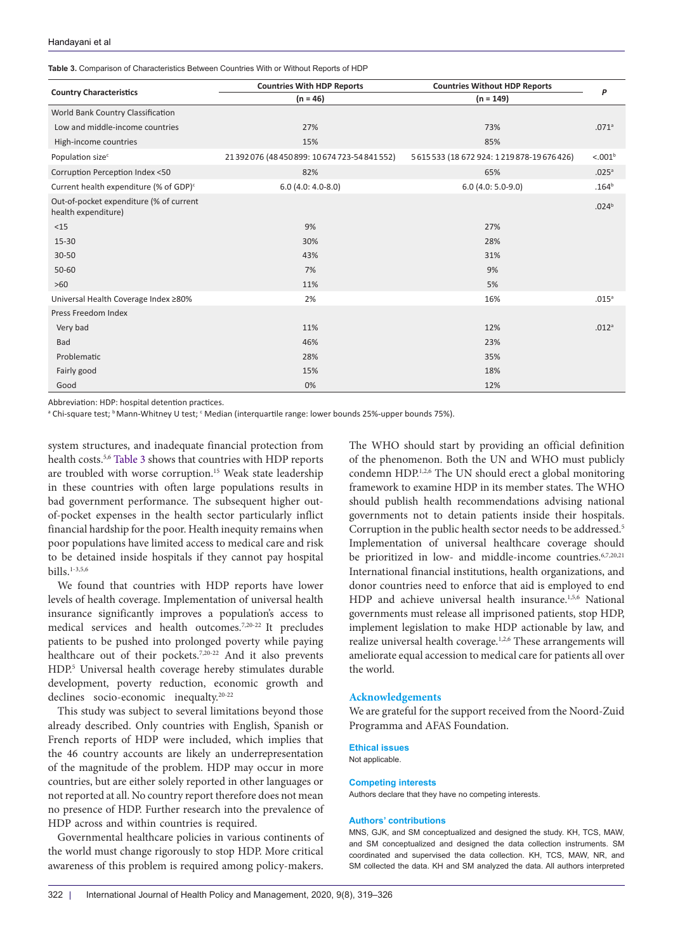#### Handayani et al

<span id="page-3-0"></span>**Table 3.** Comparison of Characteristics Between Countries With or Without Reports of HDP

|                                                                | <b>Countries With HDP Reports</b>              | <b>Countries Without HDP Reports</b><br>$(n = 149)$ | P                   |
|----------------------------------------------------------------|------------------------------------------------|-----------------------------------------------------|---------------------|
| <b>Country Characteristics</b>                                 | $(n = 46)$                                     |                                                     |                     |
| World Bank Country Classification                              |                                                |                                                     |                     |
| Low and middle-income countries                                | 27%                                            | 73%                                                 | .071 <sup>a</sup>   |
| High-income countries                                          | 15%                                            | 85%                                                 |                     |
| Population size <sup>c</sup>                                   | 21 392 076 (48 450 899: 10 674 723-54 841 552) | 5615533 (18672924:1219878-19676426)                 | < 0.01 <sup>b</sup> |
| Corruption Perception Index <50                                | 82%                                            | 65%                                                 | .025 <sup>a</sup>   |
| Current health expenditure (% of GDP) <sup>c</sup>             | $6.0$ (4.0: 4.0-8.0)                           | $6.0$ (4.0: 5.0-9.0)                                | .164 <sup>b</sup>   |
| Out-of-pocket expenditure (% of current<br>health expenditure) |                                                |                                                     | .024 <sup>b</sup>   |
| <15                                                            | 9%                                             | 27%                                                 |                     |
| 15-30                                                          | 30%                                            | 28%                                                 |                     |
| $30 - 50$                                                      | 43%                                            | 31%                                                 |                     |
| $50 - 60$                                                      | 7%                                             | 9%                                                  |                     |
| $>60$                                                          | 11%                                            | 5%                                                  |                     |
| Universal Health Coverage Index ≥80%                           | 2%                                             | 16%                                                 | .015 <sup>a</sup>   |
| Press Freedom Index                                            |                                                |                                                     |                     |
| Very bad                                                       | 11%                                            | 12%                                                 | .012 <sup>a</sup>   |
| Bad                                                            | 46%                                            | 23%                                                 |                     |
| Problematic                                                    | 28%                                            | 35%                                                 |                     |
| Fairly good                                                    | 15%                                            | 18%                                                 |                     |
| Good                                                           | 0%                                             | 12%                                                 |                     |

Abbreviation: HDP: hospital detention practices.

<sup>a</sup> Chi-square test; <sup>b</sup> Mann-Whitney U test; <sup>c</sup> Median (interquartile range: lower bounds 25%-upper bounds 75%).

system structures, and inadequate financial protection from health costs.5,6 [Table 3](#page-3-0) shows that countries with HDP reports are troubled with worse corruption.15 Weak state leadership in these countries with often large populations results in bad government performance. The subsequent higher outof-pocket expenses in the health sector particularly inflict financial hardship for the poor. Health inequity remains when poor populations have limited access to medical care and risk to be detained inside hospitals if they cannot pay hospital  $bills.$ <sup>1-3,5,6</sup>

We found that countries with HDP reports have lower levels of health coverage. Implementation of universal health insurance significantly improves a population's access to medical services and health outcomes.7,20-22 It precludes patients to be pushed into prolonged poverty while paying healthcare out of their pockets.<sup>7,20-22</sup> And it also prevents HDP.5 Universal health coverage hereby stimulates durable development, poverty reduction, economic growth and declines socio-economic inequalty.20-22

This study was subject to several limitations beyond those already described. Only countries with English, Spanish or French reports of HDP were included, which implies that the 46 country accounts are likely an underrepresentation of the magnitude of the problem. HDP may occur in more countries, but are either solely reported in other languages or not reported at all. No country report therefore does not mean no presence of HDP. Further research into the prevalence of HDP across and within countries is required.

Governmental healthcare policies in various continents of the world must change rigorously to stop HDP. More critical awareness of this problem is required among policy-makers.

The WHO should start by providing an official definition of the phenomenon. Both the UN and WHO must publicly condemn HDP.<sup>1,2,6</sup> The UN should erect a global monitoring framework to examine HDP in its member states. The WHO should publish health recommendations advising national governments not to detain patients inside their hospitals. Corruption in the public health sector needs to be addressed.<sup>5</sup> Implementation of universal healthcare coverage should be prioritized in low- and middle-income countries.<sup>6,7,20,21</sup> International financial institutions, health organizations, and donor countries need to enforce that aid is employed to end HDP and achieve universal health insurance.<sup>1,5,6</sup> National governments must release all imprisoned patients, stop HDP, implement legislation to make HDP actionable by law, and realize universal health coverage.<sup>1,2,6</sup> These arrangements will ameliorate equal accession to medical care for patients all over the world.

# **Acknowledgements**

We are grateful for the support received from the Noord-Zuid Programma and AFAS Foundation.

## **Ethical issues**

Not applicable.

#### **Competing interests**

Authors declare that they have no competing interests.

#### **Authors' contributions**

MNS, GJK, and SM conceptualized and designed the study. KH, TCS, MAW, and SM conceptualized and designed the data collection instruments. SM coordinated and supervised the data collection. KH, TCS, MAW, NR, and SM collected the data. KH and SM analyzed the data. All authors interpreted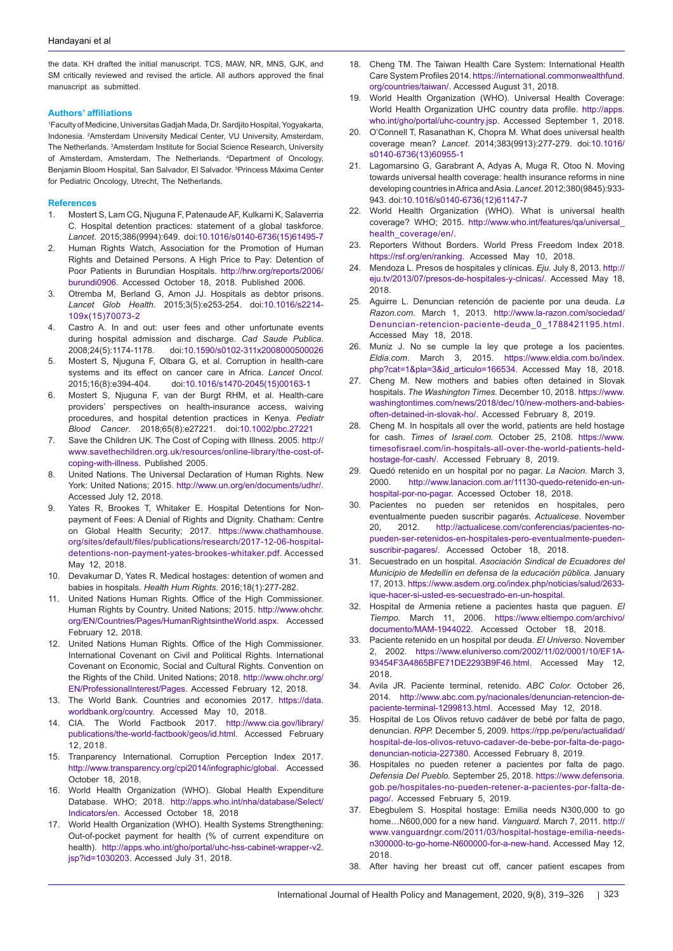the data. KH drafted the initial manuscript. TCS, MAW, NR, MNS, GJK, and SM critically reviewed and revised the article. All authors approved the final manuscript as submitted.

#### **Authors' affiliations**

1 Faculty of Medicine, Universitas Gadjah Mada, Dr. Sardjito Hospital, Yogyakarta, Indonesia. 2 Amsterdam University Medical Center, VU University, Amsterdam, The Netherlands. 3 Amsterdam Institute for Social Science Research, University of Amsterdam, Amsterdam, The Netherlands. <sup>4</sup>Department of Oncology, Benjamin Bloom Hospital, San Salvador, El Salvador. 5 Princess Máxima Center for Pediatric Oncology, Utrecht, The Netherlands.

#### **References**

- 1. Mostert S, Lam CG, Njuguna F, Patenaude AF, Kulkarni K, Salaverria C. Hospital detention practices: statement of a global taskforce. *Lancet*. 2015;386(9994):649. doi[:10.1016/s0140-6736\(15\)61495-7](https://doi.org/10.1016/s0140-6736(15)61495-7)
- 2. Human Rights Watch, Association for the Promotion of Human Rights and Detained Persons. A High Price to Pay: Detention of Poor Patients in Burundian Hospitals. [http://hrw.org/reports/2006/](http://hrw.org/reports/2006/burundi0906) [burundi0906.](http://hrw.org/reports/2006/burundi0906) Accessed October 18, 2018. Published 2006.
- 3. Otremba M, Berland G, Amon JJ. Hospitals as debtor prisons. *Lancet Glob Health*. 2015;3(5):e253-254. doi[:10.1016/s2214-](https://doi.org/10.1016/s2214-109x(15)70073-2) [109x\(15\)70073-2](https://doi.org/10.1016/s2214-109x(15)70073-2)
- 4. Castro A. In and out: user fees and other unfortunate events during hospital admission and discharge. *Cad Saude Publica*. 2008;24(5):1174-1178. doi:[10.1590/s0102-311x2008000500026](https://doi.org/10.1590/s0102-311x2008000500026)
- 5. Mostert S, Njuguna F, Olbara G, et al. Corruption in health-care systems and its effect on cancer care in Africa. *Lancet Oncol*. 2015;16(8):e394-404. doi:[10.1016/s1470-2045\(15\)00163-1](https://doi.org/10.1016/s1470-2045(15)00163-1)
- 6. Mostert S, Njuguna F, van der Burgt RHM, et al. Health-care providers' perspectives on health-insurance access, waiving procedures, and hospital detention practices in Kenya. *Pediatr Blood Cancer*. 2018;65(8):e27221. doi[:10.1002/pbc.27221](https://doi.org/10.1002/pbc.27221)
- 7. Save the Children UK. The Cost of Coping with Illness. 2005. [http://](http://www.savethechildren.org.uk/resources/online-library/the-cost-of-coping-with-illness) [www.savethechildren.org.uk/resources/online-library/the-cost-of](http://www.savethechildren.org.uk/resources/online-library/the-cost-of-coping-with-illness)[coping-with-illness.](http://www.savethechildren.org.uk/resources/online-library/the-cost-of-coping-with-illness) Published 2005.
- 8. United Nations. The Universal Declaration of Human Rights. New York: United Nations; 2015. <http://www.un.org/en/documents/udhr/>. Accessed July 12, 2018.
- 9. Yates R, Brookes T, Whitaker E. Hospital Detentions for Nonpayment of Fees: A Denial of Rights and Dignity. Chatham: Centre on Global Health Security; 2017. [https://www.chathamhouse.](https://www.chathamhouse.org/sites/default/files/publications/research/2017-12-06-hospital-detentions-non-payment-yates-brookes-whitaker.pdf) [org/sites/default/files/publications/research/2017-12-06-hospital](https://www.chathamhouse.org/sites/default/files/publications/research/2017-12-06-hospital-detentions-non-payment-yates-brookes-whitaker.pdf)[detentions-non-payment-yates-brookes-whitaker.pdf](https://www.chathamhouse.org/sites/default/files/publications/research/2017-12-06-hospital-detentions-non-payment-yates-brookes-whitaker.pdf). Accessed May 12, 2018.
- 10. Devakumar D, Yates R. Medical hostages: detention of women and babies in hospitals. *Health Hum Rights*. 2016;18(1):277-282.
- 11. United Nations Human Rights. Office of the High Commissioner. Human Rights by Country. United Nations; 2015. [http://www.ohchr.](http://www.ohchr.org/EN/Countries/Pages/HumanRightsintheWorld.aspx) [org/EN/Countries/Pages/HumanRightsintheWorld.aspx.](http://www.ohchr.org/EN/Countries/Pages/HumanRightsintheWorld.aspx) Accessed February 12, 2018.
- 12. United Nations Human Rights. Office of the High Commissioner. International Covenant on Civil and Political Rights. International Covenant on Economic, Social and Cultural Rights. Convention on the Rights of the Child. United Nations; 2018. [http://www.ohchr.org/](http://www.ohchr.org/EN/ProfessionalInterest/Pages) [EN/ProfessionalInterest/Pages](http://www.ohchr.org/EN/ProfessionalInterest/Pages). Accessed February 12, 2018.
- The World Bank. Countries and economies 2017. [https://data.](https://data.worldbank.org/country) [worldbank.org/country.](https://data.worldbank.org/country) Accessed May 10, 2018.
- 14. CIA. The World Factbook 2017. [http://www.cia.gov/library/](http://www.cia.gov/library/publications/the-world-factbook/geos/id.html) [publications/the-world-factbook/geos/id.html](http://www.cia.gov/library/publications/the-world-factbook/geos/id.html). Accessed February 12, 2018.
- 15. Tranparency International. Corruption Perception Index 2017. [http://www.transparency.org/cpi2014/infographic/global.](http://www.transparency.org/cpi2014/infographic/global) Accessed October 18, 2018.
- 16. World Health Organization (WHO). Global Health Expenditure Database. WHO; 2018. [http://apps.who.int/nha/database/Select/](http://apps.who.int/nha/database/Select/Indicators/en) [Indicators/en](http://apps.who.int/nha/database/Select/Indicators/en). Accessed October 18, 2018
- 17. World Health Organization (WHO). Health Systems Strengthening: Out-of-pocket payment for health (% of current expenditure on health). [http://apps.who.int/gho/portal/uhc-hss-cabinet-wrapper-v2.](http://apps.who.int/gho/portal/uhc-hss-cabinet-wrapper-v2.jsp?id=1030203) [jsp?id=1030203](http://apps.who.int/gho/portal/uhc-hss-cabinet-wrapper-v2.jsp?id=1030203). Accessed July 31, 2018.
- 18. Cheng TM. The Taiwan Health Care System: International Health Care System Profiles 2014. [https://international.commonwealthfund.](https://international.commonwealthfund.org/countries/taiwan/) [org/countries/taiwan/](https://international.commonwealthfund.org/countries/taiwan/). Accessed August 31, 2018.
- World Health Organization (WHO). Universal Health Coverage: World Health Organization UHC country data profile. [http://apps.](http://apps.who.int/gho/portal/uhc-country.jsp) [who.int/gho/portal/uhc-country.jsp](http://apps.who.int/gho/portal/uhc-country.jsp). Accessed September 1, 2018.
- 20. O'Connell T, Rasanathan K, Chopra M. What does universal health coverage mean? *Lancet*. 2014;383(9913):277-279. doi[:10.1016/](https://doi.org/10.1016/s0140-6736(13)60955-1) [s0140-6736\(13\)60955-1](https://doi.org/10.1016/s0140-6736(13)60955-1)
- 21. Lagomarsino G, Garabrant A, Adyas A, Muga R, Otoo N. Moving towards universal health coverage: health insurance reforms in nine developing countries inAfrica andAsia. *Lancet*. 2012;380(9845):933- 943. doi[:10.1016/s0140-6736\(12\)61147-7](https://doi.org/10.1016/s0140-6736(12)61147-7)
- 22. World Health Organization (WHO). What is universal health coverage? WHO; 2015. [http://www.who.int/features/qa/universal\\_](http://www.who.int/features/qa/universal_health_coverage/en/) [health\\_coverage/en/](http://www.who.int/features/qa/universal_health_coverage/en/).
- 23. Reporters Without Borders. World Press Freedom Index 2018. [https://rsf.org/en/ranking.](https://rsf.org/en/ranking) Accessed May 10, 2018.
- 24. Mendoza L. Presos de hospitales y clínicas. *Eju.* July 8, 2013. [http://](http://eju.tv/2013/07/presos-de-hospitales-y-clnicas/) [eju.tv/2013/07/presos-de-hospitales-y-clnicas/.](http://eju.tv/2013/07/presos-de-hospitales-y-clnicas/) Accessed May 18, 2018.
- 25. Aguirre L. Denuncian retención de paciente por una deuda. *La Razon.com*. March 1, 2013. [http://www.la-razon.com/sociedad/](http://www.la-razon.com/sociedad/Denuncian-retencion-paciente-deuda_0_1788421195.html) [Denuncian-retencion-paciente-deuda\\_0\\_1788421195.html.](http://www.la-razon.com/sociedad/Denuncian-retencion-paciente-deuda_0_1788421195.html) Accessed May 18, 2018.
- 26. Muniz J. No se cumple la ley que protege a los pacientes. *Eldia.com*. March 3, 2015. [https://www.eldia.com.bo/index.](https://www.eldia.com.bo/index.php?cat=1&pla=3&id_articulo=166534) [php?cat=1&pla=3&id\\_articulo=166534](https://www.eldia.com.bo/index.php?cat=1&pla=3&id_articulo=166534). Accessed May 18, 2018.
- 27. Cheng M. New mothers and babies often detained in Slovak hospitals. *The Washington Times.* December 10, 2018. [https://www.](https://www.washingtontimes.com/news/2018/dec/10/new-mothers-and-babies-often-detained-in-slovak-ho/) [washingtontimes.com/news/2018/dec/10/new-mothers-and-babies](https://www.washingtontimes.com/news/2018/dec/10/new-mothers-and-babies-often-detained-in-slovak-ho/)[often-detained-in-slovak-ho/](https://www.washingtontimes.com/news/2018/dec/10/new-mothers-and-babies-often-detained-in-slovak-ho/). Accessed February 8, 2019.
- 28. Cheng M. In hospitals all over the world, patients are held hostage for cash. *Times of Israel.com.* October 25, 2108. [https://www.](https://www.timesofisrael.com/in-hospitals-all-over-the-world-patients-held-hostage-for-cash/) [timesofisrael.com/in-hospitals-all-over-the-world-patients-held](https://www.timesofisrael.com/in-hospitals-all-over-the-world-patients-held-hostage-for-cash/)[hostage-for-cash/](https://www.timesofisrael.com/in-hospitals-all-over-the-world-patients-held-hostage-for-cash/). Accessed February 8, 2019.
- 29. Quedó retenido en un hospital por no pagar. *La Nacion.* March 3, 2000. [http://www.lanacion.com.ar/11130-quedo-retenido-en-un](http://www.lanacion.com.ar/11130-quedo-retenido-en-un-hospital-por-no-pagar)[hospital-por-no-pagar](http://www.lanacion.com.ar/11130-quedo-retenido-en-un-hospital-por-no-pagar). Accessed October 18, 2018.
- 30. Pacientes no pueden ser retenidos en hospitales, pero eventualmente pueden suscribir pagarés. *Actualicese*. November 20, 2012. [http://actualicese.com/conferencias/pacientes-no](http://actualicese.com/conferencias/pacientes-no-pueden-ser-retenidos-en-hospitales-pero-eventualmente-pueden-suscribir-pagares/)[pueden-ser-retenidos-en-hospitales-pero-eventualmente-pueden](http://actualicese.com/conferencias/pacientes-no-pueden-ser-retenidos-en-hospitales-pero-eventualmente-pueden-suscribir-pagares/)[suscribir-pagares/](http://actualicese.com/conferencias/pacientes-no-pueden-ser-retenidos-en-hospitales-pero-eventualmente-pueden-suscribir-pagares/). Accessed October 18, 2018.
- 31. Secuestrado en un hospital. *Asociación Sindical de Ecuadores del Municipio de Medellín en defensa de la educación pūblica.* January 17, 2013. [https://www.asdem.org.co/index.php/noticias/salud/2633](https://www.asdem.org.co/index.php/noticias/salud/2633-ique-hacer-si-usted-es-secuestrado-en-un-hospital) [ique-hacer-si-usted-es-secuestrado-en-un-hospital.](https://www.asdem.org.co/index.php/noticias/salud/2633-ique-hacer-si-usted-es-secuestrado-en-un-hospital)
- 32. Hospital de Armenia retiene a pacientes hasta que paguen. *El Tiempo.* March 11, 2006. [https://www.eltiempo.com/archivo/](https://www.eltiempo.com/archivo/documento/MAM-1944022) [documento/MAM-1944022.](https://www.eltiempo.com/archivo/documento/MAM-1944022) Accessed October 18, 2018.
- 33. Paciente retenido en un hospital por deuda. *El Universo.* November 2, 2002. [https://www.eluniverso.com/2002/11/02/0001/10/EF1A-](https://www.eluniverso.com/2002/11/02/0001/10/EF1A93454F3A4865BFE71DE2293B9F46.html)[93454F3A4865BFE71DE2293B9F46.html.](https://www.eluniverso.com/2002/11/02/0001/10/EF1A93454F3A4865BFE71DE2293B9F46.html) Accessed May 12, 2018.
- 34. Avila JR. Paciente terminal, retenido. *ABC Color.* October 26, 2014. [http://www.abc.com.py/nacionales/denuncian-retencion-de](http://www.abc.com.py/nacionales/denuncian-retencion-de-paciente-terminal-1299813.html)[paciente-terminal-1299813.html.](http://www.abc.com.py/nacionales/denuncian-retencion-de-paciente-terminal-1299813.html) Accessed May 12, 2018.
- Hospital de Los Olivos retuvo cadáver de bebé por falta de pago, denuncian. *RPP.* December 5, 2009. [https://rpp.pe/peru/actualidad/](https://rpp.pe/peru/actualidad/hospital-de-los-olivos-retuvo-cadaver-de-bebe-por-falta-de-pago-denuncian-noticia-227380) [hospital-de-los-olivos-retuvo-cadaver-de-bebe-por-falta-de-pago](https://rpp.pe/peru/actualidad/hospital-de-los-olivos-retuvo-cadaver-de-bebe-por-falta-de-pago-denuncian-noticia-227380)[denuncian-noticia-227380](https://rpp.pe/peru/actualidad/hospital-de-los-olivos-retuvo-cadaver-de-bebe-por-falta-de-pago-denuncian-noticia-227380). Accessed February 8, 2019.
- 36. Hospitales no pueden retener a pacientes por falta de pago. *Defensia Del Pueblo.* September 25, 2018. [https://www.defensoria.](https://www.defensoria.gob.pe/hospitales-no-pueden-retener-a-pacientes-por-falta-de-pago/) [gob.pe/hospitales-no-pueden-retener-a-pacientes-por-falta-de](https://www.defensoria.gob.pe/hospitales-no-pueden-retener-a-pacientes-por-falta-de-pago/)[pago/.](https://www.defensoria.gob.pe/hospitales-no-pueden-retener-a-pacientes-por-falta-de-pago/) Accessed February 5, 2019.
- 37. Ebegbulem S. Hospital hostage: Emilia needs N300,000 to go home…N600,000 for a new hand. *Vanguard.* March 7, 2011. [http://](http://www.vanguardngr.com/2011/03/hospital-hostage-emilia-needs-n300000-to-go-home-N600000-for-a-new-hand) [www.vanguardngr.com/2011/03/hospital-hostage-emilia-needs](http://www.vanguardngr.com/2011/03/hospital-hostage-emilia-needs-n300000-to-go-home-N600000-for-a-new-hand)[n300000-to-go-home-N600000-for-a-new-hand](http://www.vanguardngr.com/2011/03/hospital-hostage-emilia-needs-n300000-to-go-home-N600000-for-a-new-hand). Accessed May 12, 2018.
- 38. After having her breast cut off, cancer patient escapes from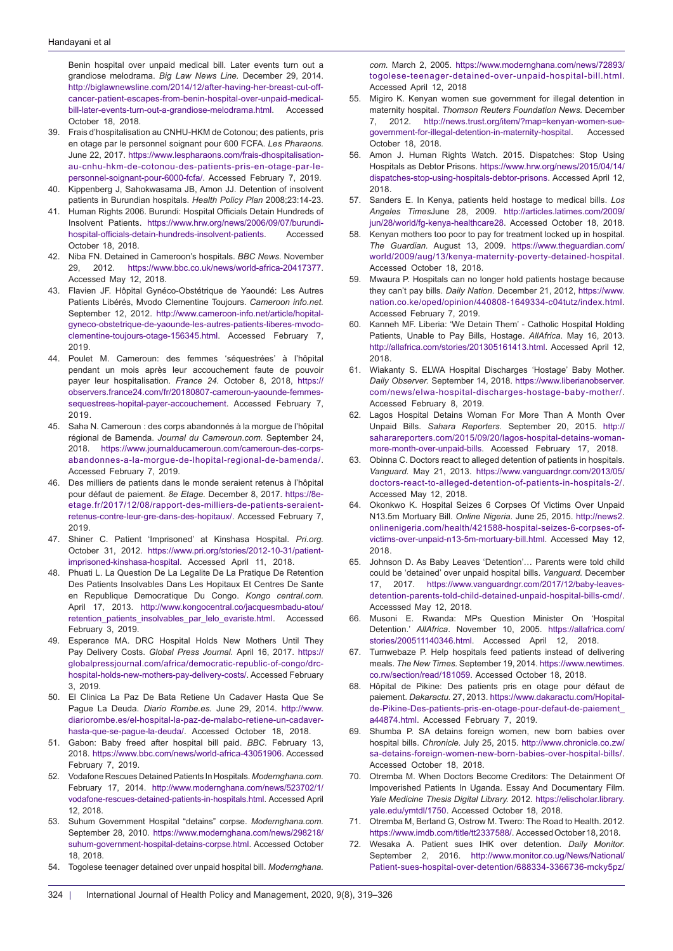Benin hospital over unpaid medical bill. Later events turn out a grandiose melodrama. *Big Law News Line.* December 29, 2014. [http://biglawnewsline.com/2014/12/after-having-her-breast-cut-off](http://biglawnewsline.com/2014/12/after-having-her-breast-cut-off-cancer-patient-escapes-from-benin-hospital-over-unpaid-medical-bill-later-events-turn-out-a-grandiose-melodrama.html)[cancer-patient-escapes-from-benin-hospital-over-unpaid-medical](http://biglawnewsline.com/2014/12/after-having-her-breast-cut-off-cancer-patient-escapes-from-benin-hospital-over-unpaid-medical-bill-later-events-turn-out-a-grandiose-melodrama.html)[bill-later-events-turn-out-a-grandiose-melodrama.html](http://biglawnewsline.com/2014/12/after-having-her-breast-cut-off-cancer-patient-escapes-from-benin-hospital-over-unpaid-medical-bill-later-events-turn-out-a-grandiose-melodrama.html). Accessed October 18, 2018.

- 39. Frais d'hospitalisation au CNHU-HKM de Cotonou; des patients, pris en otage par le personnel soignant pour 600 FCFA. *Les Pharaons.* June 22, 2017. [https://www.lespharaons.com/frais-dhospitalisation](https://www.lespharaons.com/frais-dhospitalisation-au-cnhu-hkm-de-cotonou-des-patients-pris-en-otage-par-le-personnel-soignant-pour-6000-fcfa/)[au-cnhu-hkm-de-cotonou-des-patients-pris-en-otage-par-le](https://www.lespharaons.com/frais-dhospitalisation-au-cnhu-hkm-de-cotonou-des-patients-pris-en-otage-par-le-personnel-soignant-pour-6000-fcfa/)[personnel-soignant-pour-6000-fcfa/](https://www.lespharaons.com/frais-dhospitalisation-au-cnhu-hkm-de-cotonou-des-patients-pris-en-otage-par-le-personnel-soignant-pour-6000-fcfa/). Accessed February 7, 2019.
- 40. Kippenberg J, Sahokwasama JB, Amon JJ. Detention of insolvent patients in Burundian hospitals. *Health Policy Plan* 2008;23:14-23.
- 41. Human Rights 2006. Burundi: Hospital Officials Detain Hundreds of Insolvent Patients. [https://www.hrw.org/news/2006/09/07/burundi](https://www.hrw.org/news/2006/09/07/burundi-hospital-officials-detain-hundreds-insolvent-patients)[hospital-officials-detain-hundreds-insolvent-patients.](https://www.hrw.org/news/2006/09/07/burundi-hospital-officials-detain-hundreds-insolvent-patients) Accessed October 18, 2018.
- 42. Niba FN. Detained in Cameroon's hospitals. *BBC News.* November 29, 2012. <https://www.bbc.co.uk/news/world-africa-20417377>. Accessed May 12, 2018.
- 43. Flavien JF. Hôpital Gynéco-Obstétrique de Yaoundé: Les Autres Patients Libérés, Mvodo Clementine Toujours. *Cameroon info.net.* September 12, 2012. [http://www.cameroon-info.net/article/hopital](http://www.cameroon-info.net/article/hopital-gyneco-obstetrique-de-yaounde-les-autres-patients-liberes-mvodo-clementine-toujours-otage-156345.html)[gyneco-obstetrique-de-yaounde-les-autres-patients-liberes-mvodo](http://www.cameroon-info.net/article/hopital-gyneco-obstetrique-de-yaounde-les-autres-patients-liberes-mvodo-clementine-toujours-otage-156345.html)[clementine-toujours-otage-156345.html.](http://www.cameroon-info.net/article/hopital-gyneco-obstetrique-de-yaounde-les-autres-patients-liberes-mvodo-clementine-toujours-otage-156345.html) Accessed February 7, 2019.
- 44. Poulet M. Cameroun: des femmes 'séquestrées' à l'hôpital pendant un mois après leur accouchement faute de pouvoir payer leur hospitalisation. *France 24.* October 8, 2018, [https://](https://observers.france24.com/fr/20180807-cameroun-yaounde-femmes-sequestrees-hopital-payer-accouchement) [observers.france24.com/fr/20180807-cameroun-yaounde-femmes](https://observers.france24.com/fr/20180807-cameroun-yaounde-femmes-sequestrees-hopital-payer-accouchement)[sequestrees-hopital-payer-accouchement](https://observers.france24.com/fr/20180807-cameroun-yaounde-femmes-sequestrees-hopital-payer-accouchement). Accessed February 7, 2019.
- 45. Saha N. Cameroun : des corps abandonnés à la morgue de l'hôpital régional de Bamenda. *Journal du Cameroun.com.* September 24, 2018. [https://www.journalducameroun.com/cameroun-des-corps](https://www.journalducameroun.com/cameroun-des-corps-abandonnes-a-la-morgue-de-lhopital-regional-de-bamenda/)[abandonnes-a-la-morgue-de-lhopital-regional-de-bamenda/](https://www.journalducameroun.com/cameroun-des-corps-abandonnes-a-la-morgue-de-lhopital-regional-de-bamenda/). Accessed February 7, 2019.
- 46. Des milliers de patients dans le monde seraient retenus à l'hôpital pour défaut de paiement. *8e Etage.* December 8, 2017. [https://8e](https://8e-etage.fr/2017/12/08/rapport-des-milliers-de-patients-seraient-retenus-contre-leur-gre-dans-des-hopitaux/)[etage.fr/2017/12/08/rapport-des-milliers-de-patients-seraient](https://8e-etage.fr/2017/12/08/rapport-des-milliers-de-patients-seraient-retenus-contre-leur-gre-dans-des-hopitaux/)[retenus-contre-leur-gre-dans-des-hopitaux/](https://8e-etage.fr/2017/12/08/rapport-des-milliers-de-patients-seraient-retenus-contre-leur-gre-dans-des-hopitaux/). Accessed February 7, 2019.
- 47. Shiner C. Patient 'Imprisoned' at Kinshasa Hospital. *Pri.org.*  October 31, 2012. [https://www.pri.org/stories/2012-10-31/patient](https://www.pri.org/stories/2012-10-31/patient-imprisoned-kinshasa-hospital)[imprisoned-kinshasa-hospital.](https://www.pri.org/stories/2012-10-31/patient-imprisoned-kinshasa-hospital) Accessed April 11, 2018.
- 48. Phuati L. La Question De La Legalite De La Pratique De Retention Des Patients Insolvables Dans Les Hopitaux Et Centres De Sante en Republique Democratique Du Congo. *Kongo central.com.* April 17, 2013. [http://www.kongocentral.co/jacquesmbadu-atou/](http://www.kongocentral.co/jacquesmbadu-atou/retention_patients_insolvables_par_lelo_evariste.html) [retention\\_patients\\_insolvables\\_par\\_lelo\\_evariste.html](http://www.kongocentral.co/jacquesmbadu-atou/retention_patients_insolvables_par_lelo_evariste.html). Accessed February 3, 2019.
- 49. Esperance MA. DRC Hospital Holds New Mothers Until They Pay Delivery Costs. *Global Press Journal.* April 16, 2017. [https://](https://globalpressjournal.com/africa/democratic-republic-of-congo/drc-hospital-holds-new-mothers-pay-delivery-costs/) [globalpressjournal.com/africa/democratic-republic-of-congo/drc](https://globalpressjournal.com/africa/democratic-republic-of-congo/drc-hospital-holds-new-mothers-pay-delivery-costs/)[hospital-holds-new-mothers-pay-delivery-costs/](https://globalpressjournal.com/africa/democratic-republic-of-congo/drc-hospital-holds-new-mothers-pay-delivery-costs/). Accessed February 3, 2019.
- 50. El Clinica La Paz De Bata Retiene Un Cadaver Hasta Que Se Pague La Deuda. *Diario Rombe.es.* June 29, 2014. [http://www.](http://www.diariorombe.es/el-hospital-la-paz-de-malabo-retiene-un-cadaver-hasta-que-se-pague-la-deuda/) [diariorombe.es/el-hospital-la-paz-de-malabo-retiene-un-cadaver](http://www.diariorombe.es/el-hospital-la-paz-de-malabo-retiene-un-cadaver-hasta-que-se-pague-la-deuda/)[hasta-que-se-pague-la-deuda/.](http://www.diariorombe.es/el-hospital-la-paz-de-malabo-retiene-un-cadaver-hasta-que-se-pague-la-deuda/) Accessed October 18, 2018.
- 51. Gabon: Baby freed after hospital bill paid. *BBC.* February 13, 2018. <https://www.bbc.com/news/world-africa-43051906>. Accessed February 7, 2019.
- 52. Vodafone Rescues Detained Patients In Hospitals. *Modernghana.com.* February 17, 2014. [http://www.modernghana.com/news/523702/1/](http://www.modernghana.com/news/523702/1/vodafone-rescues-detained-patients-in-hospitals.html) [vodafone-rescues-detained-patients-in-hospitals.html.](http://www.modernghana.com/news/523702/1/vodafone-rescues-detained-patients-in-hospitals.html) Accessed April 12, 2018.
- 53. Suhum Government Hospital "detains" corpse. *Modernghana.com.* September 28, 2010. [https://www.modernghana.com/news/298218/](https://www.modernghana.com/news/298218/suhum-government-hospital-detains-corpse.html) [suhum-government-hospital-detains-corpse.html](https://www.modernghana.com/news/298218/suhum-government-hospital-detains-corpse.html). Accessed October 18, 2018.
- 54. Togolese teenager detained over unpaid hospital bill. *Modernghana.*

*com.* March 2, 2005. [https://www.modernghana.com/news/72893/](https://www.modernghana.com/news/72893/togolese-teenager-detained-over-unpaid-hospital-bill.html) [togolese-teenager-detained-over-unpaid-hospital-bill.html.](https://www.modernghana.com/news/72893/togolese-teenager-detained-over-unpaid-hospital-bill.html) Accessed April 12, 2018

- 55. Migiro K. Kenyan women sue government for illegal detention in maternity hospital. *Thomson Reuters Foundation News.* December 7, 2012. [http://news.trust.org/item/?map=kenyan-women-sue](http://news.trust.org/item/?map=kenyan-women-sue-government-for-illegal-detention-in-maternity-hospital)[government-for-illegal-detention-in-maternity-hospital](http://news.trust.org/item/?map=kenyan-women-sue-government-for-illegal-detention-in-maternity-hospital). Accessed October 18, 2018.
- 56. Amon J. Human Rights Watch. 2015. Dispatches: Stop Using Hospitals as Debtor Prisons. [https://www.hrw.org/news/2015/04/14/](https://www.hrw.org/news/2015/04/14/dispatches-stop-using-hospitals-debtor-prisons) [dispatches-stop-using-hospitals-debtor-prisons.](https://www.hrw.org/news/2015/04/14/dispatches-stop-using-hospitals-debtor-prisons) Accessed April 12, 2018.
- 57. Sanders E. In Kenya, patients held hostage to medical bills. *Los Angeles Times*June 28, 2009. [http://articles.latimes.com/2009/](http://articles.latimes.com/2009/jun/28/world/fg-kenya-healthcare28) [jun/28/world/fg-kenya-healthcare28.](http://articles.latimes.com/2009/jun/28/world/fg-kenya-healthcare28) Accessed October 18, 2018.
- 58. Kenyan mothers too poor to pay for treatment locked up in hospital. *The Guardian.* August 13, 2009. [https://www.theguardian.com/](https://www.theguardian.com/world/2009/aug/13/kenya-maternity-poverty-detained-hospital) [world/2009/aug/13/kenya-maternity-poverty-detained-hospital.](https://www.theguardian.com/world/2009/aug/13/kenya-maternity-poverty-detained-hospital) Accessed October 18, 2018.
- 59. Mwaura P. Hospitals can no longer hold patients hostage because they can't pay bills. *Daily Nation.* December 21, 2012, [https://www.](https://www.nation.co.ke/oped/opinion/440808-1649334-c04tutz/index.html) [nation.co.ke/oped/opinion/440808-1649334-c04tutz/index.html.](https://www.nation.co.ke/oped/opinion/440808-1649334-c04tutz/index.html) Accessed February 7, 2019.
- 60. Kanneh MF. Liberia: 'We Detain Them' Catholic Hospital Holding Patients, Unable to Pay Bills, Hostage. *AllAfrica*. May 16, 2013. <http://allafrica.com/stories/201305161413.html>. Accessed April 12, 2018.
- 61. Wiakanty S. ELWA Hospital Discharges 'Hostage' Baby Mother. *Daily Observer.* September 14, 2018. [https://www.liberianobserver.](https://www.liberianobserver.com/news/elwa-hospital-discharges-hostage-baby-mother/) [com/news/elwa-hospital-discharges-hostage-baby-mother/.](https://www.liberianobserver.com/news/elwa-hospital-discharges-hostage-baby-mother/) Accessed February 8, 2019.
- 62. Lagos Hospital Detains Woman For More Than A Month Over Unpaid Bills. *Sahara Reporters.* September 20, 2015. [http://](http://saharareporters.com/2015/09/20/lagos-hospital-detains-woman-more-month-over-unpaid-bills) [saharareporters.com/2015/09/20/lagos-hospital-detains-woman](http://saharareporters.com/2015/09/20/lagos-hospital-detains-woman-more-month-over-unpaid-bills)[more-month-over-unpaid-bills](http://saharareporters.com/2015/09/20/lagos-hospital-detains-woman-more-month-over-unpaid-bills). Accessed February 17, 2018.
- 63. Obinna C. Doctors react to alleged detention of patients in hospitals. *Vanguard.* May 21, 2013. [https://www.vanguardngr.com/2013/05/](https://www.vanguardngr.com/2013/05/doctors-react-to-alleged-detention-of-patients-in-hospitals-2/) [doctors-react-to-alleged-detention-of-patients-in-hospitals-2/.](https://www.vanguardngr.com/2013/05/doctors-react-to-alleged-detention-of-patients-in-hospitals-2/) Accessed May 12, 2018.
- 64. Okonkwo K. Hospital Seizes 6 Corpses Of Victims Over Unpaid N13.5m Mortuary Bill. *Online Nigeria.* June 25, 2015. [http://news2.](http://news2.onlinenigeria.com/health/421588-hospital-seizes-6-corpses-of-victims-over-unpaid-n13-5m-mortuary-bill.html) [onlinenigeria.com/health/421588-hospital-seizes-6-corpses-of](http://news2.onlinenigeria.com/health/421588-hospital-seizes-6-corpses-of-victims-over-unpaid-n13-5m-mortuary-bill.html)[victims-over-unpaid-n13-5m-mortuary-bill.html.](http://news2.onlinenigeria.com/health/421588-hospital-seizes-6-corpses-of-victims-over-unpaid-n13-5m-mortuary-bill.html) Accessed May 12, 2018.
- 65. Johnson D. As Baby Leaves 'Detention'… Parents were told child could be 'detained' over unpaid hospital bills. *Vanguard.* December 17, 2017. [https://www.vanguardngr.com/2017/12/baby-leaves](https://www.vanguardngr.com/2017/12/baby-leaves-detention-parents-told-child-detained-unpaid-hospital-bills-cmd/)[detention-parents-told-child-detained-unpaid-hospital-bills-cmd/.](https://www.vanguardngr.com/2017/12/baby-leaves-detention-parents-told-child-detained-unpaid-hospital-bills-cmd/) Accesssed May 12, 2018.
- 66. Musoni E. Rwanda: MPs Question Minister On 'Hospital Detention.' *AllAfrica*. November 10, 2005. [https://allafrica.com/](https://allafrica.com/stories/200511140346.html) [stories/200511140346.html.](https://allafrica.com/stories/200511140346.html) Accessed April 12, 2018.
- 67. Tumwebaze P. Help hospitals feed patients instead of delivering meals. *The New Times.* September 19, 2014. [https://www.newtimes.](https://www.newtimes.co.rw/section/read/181059) [co.rw/section/read/181059](https://www.newtimes.co.rw/section/read/181059). Accessed October 18, 2018.
- 68. Hôpital de Pikine: Des patients pris en otage pour défaut de paiement. *Dakaractu.* 27, 2013. [https://www.dakaractu.com/Hopital](https://www.dakaractu.com/Hopital-de-Pikine-Des-patients-pris-en-otage-pour-defaut-de-paiement_a44874.html)[de-Pikine-Des-patients-pris-en-otage-pour-defaut-de-paiement\\_](https://www.dakaractu.com/Hopital-de-Pikine-Des-patients-pris-en-otage-pour-defaut-de-paiement_a44874.html) [a44874.html.](https://www.dakaractu.com/Hopital-de-Pikine-Des-patients-pris-en-otage-pour-defaut-de-paiement_a44874.html) Accessed February 7, 2019.
- 69. Shumba P. SA detains foreign women, new born babies over hospital bills. *Chronicle.* July 25, 2015. [http://www.chronicle.co.zw/](http://www.chronicle.co.zw/sa-detains-foreign-women-new-born-babies-over-hospital-bills/) [sa-detains-foreign-women-new-born-babies-over-hospital-bills/.](http://www.chronicle.co.zw/sa-detains-foreign-women-new-born-babies-over-hospital-bills/) Accessed October 18, 2018.
- 70. Otremba M. When Doctors Become Creditors: The Detainment Of Impoverished Patients In Uganda. Essay And Documentary Film. *Yale Medicine Thesis Digital Library.* 2012. [https://elischolar.library.](https://elischolar.library.yale.edu/ymtdl/1750) [yale.edu/ymtdl/1750.](https://elischolar.library.yale.edu/ymtdl/1750) Accessed October 18, 2018.
- 71. Otremba M, Berland G, Ostrow M. Twero: The Road to Health. 2012. [https://www.imdb.com/title/tt2337588/.](https://www.imdb.com/title/tt2337588/) Accessed October 18, 2018.
- 72. Wesaka A. Patient sues IHK over detention. *Daily Monitor.* September 2, 2016. [http://www.monitor.co.ug/News/National/](http://www.monitor.co.ug/News/National/Patient-sues-hospital-over-detention/688334-3366736-mcky5pz/index.html) [Patient-sues-hospital-over-detention/688334-3366736-mcky5pz/](http://www.monitor.co.ug/News/National/Patient-sues-hospital-over-detention/688334-3366736-mcky5pz/index.html)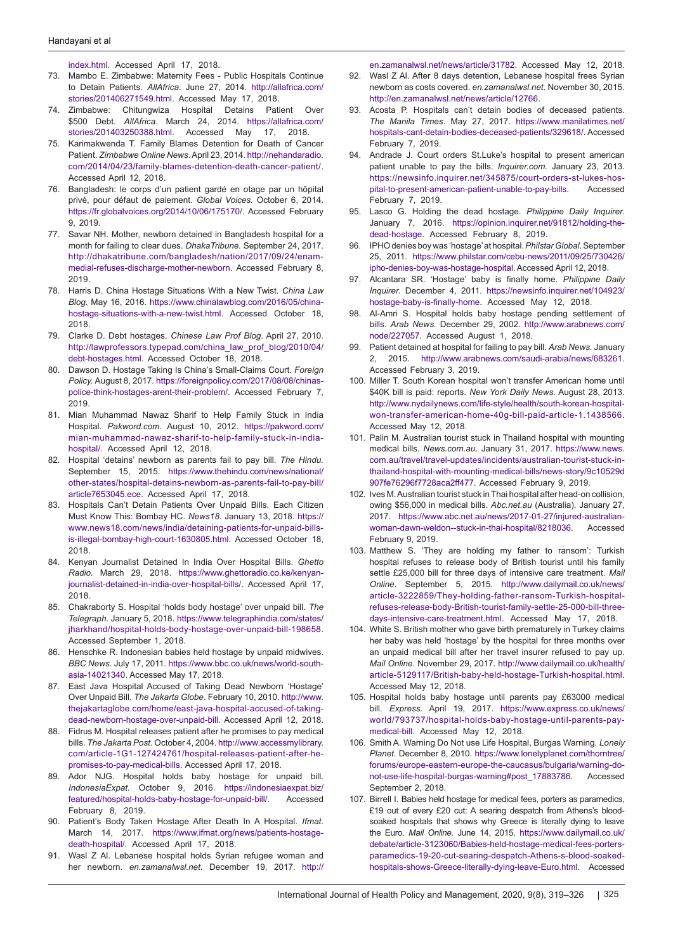[index.html](http://www.monitor.co.ug/News/National/Patient-sues-hospital-over-detention/688334-3366736-mcky5pz/index.html). Accessed April 17, 2018.

- 73. Mambo E. Zimbabwe: Maternity Fees Public Hospitals Continue to Detain Patients. *AllAfrica*. June 27, 2014. [http://allafrica.com/](http://allafrica.com/stories/201406271549.html) [stories/201406271549.html](http://allafrica.com/stories/201406271549.html). Accessed May 17, 2018.
- 74. Zimbabwe: Chitungwiza Hospital Detains Patient Over \$500 Debt. *AllAfrica*. March 24, 2014. [https://allafrica.com/](https://allafrica.com/stories/201403250388.html) [stories/201403250388.html](https://allafrica.com/stories/201403250388.html). Accessed May 17, 2018.
- 75. Karimakwenda T. Family Blames Detention for Death of Cancer Patient. *Zimbabwe Online News*. April 23, 2014. [http://nehandaradio.](http://nehandaradio.com/2014/04/23/family-blames-detention-death-cancer-patient/) [com/2014/04/23/family-blames-detention-death-cancer-patient/](http://nehandaradio.com/2014/04/23/family-blames-detention-death-cancer-patient/). Accessed April 12, 2018.
- 76. Bangladesh: le corps d'un patient gardé en otage par un hôpital privé, pour défaut de paiement. *Global Voices.* October 6, 2014. <https://fr.globalvoices.org/2014/10/06/175170/>. Accessed February 9, 2019.
- Savar NH. Mother, newborn detained in Bangladesh hospital for a month for failing to clear dues. *DhakaTribune.* September 24, 2017. [http://dhakatribune.com/bangladesh/nation/2017/09/24/enam](http://dhakatribune.com/bangladesh/nation/2017/09/24/enam-medial-refuses-discharge-mother-newborn)[medial-refuses-discharge-mother-newborn.](http://dhakatribune.com/bangladesh/nation/2017/09/24/enam-medial-refuses-discharge-mother-newborn) Accessed February 8, 2019.
- 78. Harris D. China Hostage Situations With a New Twist. *China Law Blog.* May 16, 2016. [https://www.chinalawblog.com/2016/05/china](https://www.chinalawblog.com/2016/05/china-hostage-situations-with-a-new-twist.html)[hostage-situations-with-a-new-twist.html.](https://www.chinalawblog.com/2016/05/china-hostage-situations-with-a-new-twist.html) Accessed October 18, 2018.
- 79. Clarke D. Debt hostages. *Chinese Law Prof Blog*. April 27, 2010. [http://lawprofessors.typepad.com/china\\_law\\_prof\\_blog/2010/04/](http://lawprofessors.typepad.com/china_law_prof_blog/2010/04/debt-hostages.html) [debt-hostages.html](http://lawprofessors.typepad.com/china_law_prof_blog/2010/04/debt-hostages.html). Accessed October 18, 2018.
- 80. Dawson D. Hostage Taking Is China's Small-Claims Court. *Foreign Policy.* August 8, 2017. [https://foreignpolicy.com/2017/08/08/chinas](https://foreignpolicy.com/2017/08/08/chinas-police-think-hostages-arent-their-problem/)[police-think-hostages-arent-their-problem/.](https://foreignpolicy.com/2017/08/08/chinas-police-think-hostages-arent-their-problem/) Accessed February 7, 2019.
- 81. Mian Muhammad Nawaz Sharif to Help Family Stuck in India Hospital. *Pakword.com.* August 10, 2012. [https://pakword.com/](https://pakword.com/mian-muhammad-nawaz-sharif-to-help-family-stuck-in-india-hospital/) [mian-muhammad-nawaz-sharif-to-help-family-stuck-in-india](https://pakword.com/mian-muhammad-nawaz-sharif-to-help-family-stuck-in-india-hospital/)[hospital/.](https://pakword.com/mian-muhammad-nawaz-sharif-to-help-family-stuck-in-india-hospital/) Accessed April 12, 2018.
- 82. Hospital 'detains' newborn as parents fail to pay bill. *The Hindu.*  September 15, 2015. [https://www.thehindu.com/news/national/](https://www.thehindu.com/news/national/other-states/hospital-detains-newborn-as-parents-fail-to-pay-bill/article7653045.ece) [other-states/hospital-detains-newborn-as-parents-fail-to-pay-bill/](https://www.thehindu.com/news/national/other-states/hospital-detains-newborn-as-parents-fail-to-pay-bill/article7653045.ece) [article7653045.ece.](https://www.thehindu.com/news/national/other-states/hospital-detains-newborn-as-parents-fail-to-pay-bill/article7653045.ece) Accessed April 17, 2018.
- 83. Hospitals Can't Detain Patients Over Unpaid Bills, Each Citizen Must Know This: Bombay HC. *News18.* January 13, 2018. [https://](https://www.news18.com/news/india/detaining-patients-for-unpaid-bills-is-illegal-bombay-high-court-1630805.html) [www.news18.com/news/india/detaining-patients-for-unpaid-bills](https://www.news18.com/news/india/detaining-patients-for-unpaid-bills-is-illegal-bombay-high-court-1630805.html)[is-illegal-bombay-high-court-1630805.html](https://www.news18.com/news/india/detaining-patients-for-unpaid-bills-is-illegal-bombay-high-court-1630805.html). Accessed October 18, 2018.
- 84. Kenyan Journalist Detained In India Over Hospital Bills. *Ghetto Radio.* March 29, 2018. [https://www.ghettoradio.co.ke/kenyan](https://www.ghettoradio.co.ke/kenyan-journalist-detained-in-india-over-hospital-bills/)[journalist-detained-in-india-over-hospital-bills/](https://www.ghettoradio.co.ke/kenyan-journalist-detained-in-india-over-hospital-bills/). Accessed April 17, 2018.
- 85. Chakraborty S. Hospital 'holds body hostage' over unpaid bill. *The Telegraph.* January 5, 2018. [https://www.telegraphindia.com/states/](https://www.telegraphindia.com/states/jharkhand/hospital-holds-body-hostage-over-unpaid-bill-198658) [jharkhand/hospital-holds-body-hostage-over-unpaid-bill-198658](https://www.telegraphindia.com/states/jharkhand/hospital-holds-body-hostage-over-unpaid-bill-198658). Accessed September 1, 2018.
- 86. Henschke R. Indonesian babies held hostage by unpaid midwives. *BBC News*. July 17, 2011. [https://www.bbc.co.uk/news/world-south](https://www.bbc.co.uk/news/world-south-asia-14021340)[asia-14021340.](https://www.bbc.co.uk/news/world-south-asia-14021340) Accessed May 17, 2018.
- 87. East Java Hospital Accused of Taking Dead Newborn 'Hostage' Over Unpaid Bill. *The Jakarta Globe*. February 10, 2010. [http://www.](http://www.thejakartaglobe.com/home/east-java-hospital-accused-of-taking-dead-newborn-hostage-over-unpaid-bill) [thejakartaglobe.com/home/east-java-hospital-accused-of-taking](http://www.thejakartaglobe.com/home/east-java-hospital-accused-of-taking-dead-newborn-hostage-over-unpaid-bill)[dead-newborn-hostage-over-unpaid-bill](http://www.thejakartaglobe.com/home/east-java-hospital-accused-of-taking-dead-newborn-hostage-over-unpaid-bill). Accessed April 12, 2018.
- 88. Fidrus M. Hospital releases patient after he promises to pay medical bills. *The Jakarta Post*. October 4, 2004. [http://www.accessmylibrary.](http://www.accessmylibrary.com/article-1G1-127424761/hospital-releases-patient-after-he-promises-to-pay-medical-bills) [com/article-1G1-127424761/hospital-releases-patient-after-he](http://www.accessmylibrary.com/article-1G1-127424761/hospital-releases-patient-after-he-promises-to-pay-medical-bills)[promises-to-pay-medical-bills](http://www.accessmylibrary.com/article-1G1-127424761/hospital-releases-patient-after-he-promises-to-pay-medical-bills). Accessed April 17, 2018.
- 89. Ador NJG. Hospital holds baby hostage for unpaid bill. *IndonesiaExpat.* October 9, 2016. [https://indonesiaexpat.biz/](https://indonesiaexpat.biz/featured/hospital-holds-baby-hostage-for-unpaid-bill/) [featured/hospital-holds-baby-hostage-for-unpaid-bill/.](https://indonesiaexpat.biz/featured/hospital-holds-baby-hostage-for-unpaid-bill/) Accessed February 8, 2019.
- 90. Patient's Body Taken Hostage After Death In A Hospital. *Ifmat*. March 14, 2017. [https://www.ifmat.org/news/patients-hostage](https://www.ifmat.org/news/patients-hostage-death-hospital/)[death-hospital/](https://www.ifmat.org/news/patients-hostage-death-hospital/). Accessed April 17, 2018.
- Wasl Z Al. Lebanese hospital holds Syrian refugee woman and her newborn. *en.zamanalwsl.net*. December 19, 2017. [http://](http://en.zamanalwsl.net/news/article/31782)

[en.zamanalwsl.net/news/article/31782](http://en.zamanalwsl.net/news/article/31782). Accessed May 12, 2018.

- 92. Wasl Z Al. After 8 days detention, Lebanese hospital frees Syrian newborn as costs covered. *en.zamanalwsl.net*. November 30, 2015. <http://en.zamanalwsl.net/news/article/12766>.
- 93. Acosta P. Hospitals can't detain bodies of deceased patients. *The Manila Times*. May 27, 2017. [https://www.manilatimes.net/](https://www.manilatimes.net/hospitals-cant-detain-bodies-deceased-patients/329618/) [hospitals-cant-detain-bodies-deceased-patients/329618/](https://www.manilatimes.net/hospitals-cant-detain-bodies-deceased-patients/329618/). Accessed February 7, 2019.
- 94. Andrade J. Court orders St.Luke's hospital to present american patient unable to pay the bills. *Inquirer.com.* January 23, 2013. [https://newsinfo.inquirer.net/345875/court-orders-st-lukes-hos](https://newsinfo.inquirer.net/345875/court-orders-st-lukes-hospital-to-present-american-patient-unable-to-pay-bills)[pital-to-present-american-patient-unable-to-pay-bills](https://newsinfo.inquirer.net/345875/court-orders-st-lukes-hospital-to-present-american-patient-unable-to-pay-bills). Accessed February 7, 2019.
- 95. Lasco G. Holding the dead hostage. *Philippine Daily Inquirer.* January 7, 2016. [https://opinion.inquirer.net/91812/holding-the](https://opinion.inquirer.net/91812/holding-the-dead-hostage)[dead-hostage](https://opinion.inquirer.net/91812/holding-the-dead-hostage). Accessed February 8, 2019.
- 96. IPHOdenies boy was 'hostage' at hospital. *PhilstarGlobal.*September 25, 2011. [https://www.philstar.com/cebu-news/2011/09/25/730426/](https://www.philstar.com/cebu-news/2011/09/25/730426/ipho-denies-boy-was-hostage-hospital) [ipho-denies-boy-was-hostage-hospital](https://www.philstar.com/cebu-news/2011/09/25/730426/ipho-denies-boy-was-hostage-hospital). Accessed April 12, 2018.
- 97. Alcantara SR. 'Hostage' baby is finally home. *Philippine Daily Inquirer.* December 4, 2011. [https://newsinfo.inquirer.net/104923/](https://newsinfo.inquirer.net/104923/hostage-baby-is-finally-home) [hostage-baby-is-finally-home.](https://newsinfo.inquirer.net/104923/hostage-baby-is-finally-home) Accessed May 12, 2018.
- 98. Al-Amri S. Hospital holds baby hostage pending settlement of bills. *Arab News.* December 29, 2002. [http://www.arabnews.com/](http://www.arabnews.com/node/227057) [node/227057](http://www.arabnews.com/node/227057). Accessed August 1, 2018.
- 99. Patient detained at hospital for failing to pay bill. *Arab News.* January 2, 2015. [http://www.arabnews.com/saudi-arabia/news/683261.](http://www.arabnews.com/saudi-arabia/news/683261) Accessed February 3, 2019.
- 100. Miller T. South Korean hospital won't transfer American home until \$40K bill is paid: reports. *New York Daily News.* August 28, 2013. [http://www.nydailynews.com/life-style/health/south-korean-hospital](http://www.nydailynews.com/life-style/health/south-korean-hospital-won-transfer-american-home-40g-bill-paid-article-1.1438566)[won-transfer-american-home-40g-bill-paid-article-1.1438566.](http://www.nydailynews.com/life-style/health/south-korean-hospital-won-transfer-american-home-40g-bill-paid-article-1.1438566) Accessed May 12, 2018.
- 101. Palin M. Australian tourist stuck in Thailand hospital with mounting medical bills. *News.com.au*. January 31, 2017. [https://www.news.](https://www.news.com.au/travel/travel-updates/incidents/australian-tourist-stuck-in-thailand-hospital-with-mounting-medical-bills/news-story/9c10529d907fe76296f7728aca2ff477) [com.au/travel/travel-updates/incidents/australian-tourist-stuck-in](https://www.news.com.au/travel/travel-updates/incidents/australian-tourist-stuck-in-thailand-hospital-with-mounting-medical-bills/news-story/9c10529d907fe76296f7728aca2ff477)[thailand-hospital-with-mounting-medical-bills/news-story/9c10529d](https://www.news.com.au/travel/travel-updates/incidents/australian-tourist-stuck-in-thailand-hospital-with-mounting-medical-bills/news-story/9c10529d907fe76296f7728aca2ff477) [907fe76296f7728aca2ff477](https://www.news.com.au/travel/travel-updates/incidents/australian-tourist-stuck-in-thailand-hospital-with-mounting-medical-bills/news-story/9c10529d907fe76296f7728aca2ff477). Accessed February 9, 2019.
- 102. Ives M. Australian tourist stuck in Thai hospital after head-on collision, owing \$56,000 in medical bills. *Abc.net.au* (Australia). January 27, 2017. [https://www.abc.net.au/news/2017-01-27/injured-australian](https://www.abc.net.au/news/2017-01-27/injured-australian-woman-dawn-weldon--stuck-in-thai-hospital/8218036)[woman-dawn-weldon--stuck-in-thai-hospital/8218036](https://www.abc.net.au/news/2017-01-27/injured-australian-woman-dawn-weldon--stuck-in-thai-hospital/8218036). Accessed February 9, 2019.
- 103. Matthew S. 'They are holding my father to ransom': Turkish hospital refuses to release body of British tourist until his family settle £25,000 bill for three days of intensive care treatment. *Mail Online*. September 5, 2015. [http://www.dailymail.co.uk/news/](http://www.dailymail.co.uk/news/article-3222859/They-holding-father-ransom-Turkish-hospital-refuses-release-body-British-tourist-family-settle-25-000-bill-three-days-intensive-care-treatment.html) [article-3222859/They-holding-father-ransom-Turkish-hospital](http://www.dailymail.co.uk/news/article-3222859/They-holding-father-ransom-Turkish-hospital-refuses-release-body-British-tourist-family-settle-25-000-bill-three-days-intensive-care-treatment.html)[refuses-release-body-British-tourist-family-settle-25-000-bill-three](http://www.dailymail.co.uk/news/article-3222859/They-holding-father-ransom-Turkish-hospital-refuses-release-body-British-tourist-family-settle-25-000-bill-three-days-intensive-care-treatment.html)[days-intensive-care-treatment.html.](http://www.dailymail.co.uk/news/article-3222859/They-holding-father-ransom-Turkish-hospital-refuses-release-body-British-tourist-family-settle-25-000-bill-three-days-intensive-care-treatment.html) Accessed May 17, 2018.
- 104. White S. British mother who gave birth prematurely in Turkey claims her baby was held 'hostage' by the hospital for three months over an unpaid medical bill after her travel insurer refused to pay up. *Mail Online*. November 29, 2017. [http://www.dailymail.co.uk/health/](http://www.dailymail.co.uk/health/article-5129117/British-baby-held-hostage-Turkish-hospital.html) [article-5129117/British-baby-held-hostage-Turkish-hospital.html.](http://www.dailymail.co.uk/health/article-5129117/British-baby-held-hostage-Turkish-hospital.html) Accessed May 12, 2018.
- 105. Hospital holds baby hostage until parents pay £63000 medical bill. *Express.* April 19, 2017. [https://www.express.co.uk/news/](https://www.express.co.uk/news/world/793737/hospital-holds-baby-hostage-until-parents-pay-medical-bill) [world/793737/hospital-holds-baby-hostage-until-parents-pay](https://www.express.co.uk/news/world/793737/hospital-holds-baby-hostage-until-parents-pay-medical-bill)[medical-bill.](https://www.express.co.uk/news/world/793737/hospital-holds-baby-hostage-until-parents-pay-medical-bill) Accessed May 12, 2018.
- 106. Smith A. Warning Do Not use Life Hospital, Burgas Warning. *Lonely Planet.* December 8, 2010. [https://www.lonelyplanet.com/thorntree/](https://www.lonelyplanet.com/thorntree/forums/europe-eastern-europe-the-caucasus/bulgaria/warning-do-not-use-life-hospital-burgas-warning#post_17883786) [forums/europe-eastern-europe-the-caucasus/bulgaria/warning-do](https://www.lonelyplanet.com/thorntree/forums/europe-eastern-europe-the-caucasus/bulgaria/warning-do-not-use-life-hospital-burgas-warning#post_17883786)[not-use-life-hospital-burgas-warning#post\\_17883786.](https://www.lonelyplanet.com/thorntree/forums/europe-eastern-europe-the-caucasus/bulgaria/warning-do-not-use-life-hospital-burgas-warning#post_17883786) Accessed September 2, 2018.
- 107. Birrell I. Babies held hostage for medical fees, porters as paramedics, £19 out of every £20 cut: A searing despatch from Athens's bloodsoaked hospitals that shows why Greece is literally dying to leave the Euro. *Mail Online.* June 14, 2015. [https://www.dailymail.co.uk/](https://www.dailymail.co.uk/debate/article-3123060/Babies-held-hostage-medical-fees-porters-paramedics-19-20-cut-searing-despatch-Athens-s-blood-soaked-hospitals-shows-Greece-literally-dying-leave-Euro.html) [debate/article-3123060/Babies-held-hostage-medical-fees-porters](https://www.dailymail.co.uk/debate/article-3123060/Babies-held-hostage-medical-fees-porters-paramedics-19-20-cut-searing-despatch-Athens-s-blood-soaked-hospitals-shows-Greece-literally-dying-leave-Euro.html)[paramedics-19-20-cut-searing-despatch-Athens-s-blood-soaked](https://www.dailymail.co.uk/debate/article-3123060/Babies-held-hostage-medical-fees-porters-paramedics-19-20-cut-searing-despatch-Athens-s-blood-soaked-hospitals-shows-Greece-literally-dying-leave-Euro.html)[hospitals-shows-Greece-literally-dying-leave-Euro.html](https://www.dailymail.co.uk/debate/article-3123060/Babies-held-hostage-medical-fees-porters-paramedics-19-20-cut-searing-despatch-Athens-s-blood-soaked-hospitals-shows-Greece-literally-dying-leave-Euro.html). Accessed